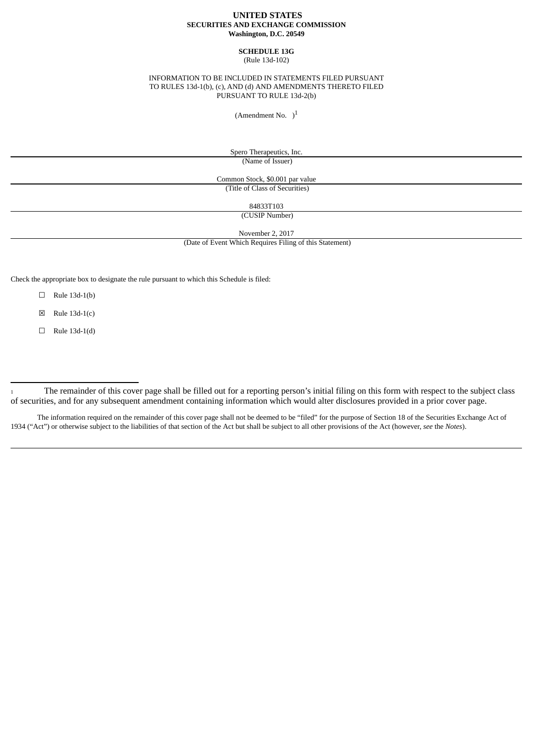## **UNITED STATES SECURITIES AND EXCHANGE COMMISSION Washington, D.C. 20549**

### **SCHEDULE 13G** (Rule 13d-102)

#### INFORMATION TO BE INCLUDED IN STATEMENTS FILED PURSUANT TO RULES 13d-1(b), (c), AND (d) AND AMENDMENTS THERETO FILED PURSUANT TO RULE 13d-2(b)

(Amendment No.  $)$ <sup>1</sup>

Spero Therapeutics, Inc. (Name of Issuer)

Common Stock, \$0.001 par value (Title of Class of Securities)

84833T103 (CUSIP Number)

November 2, 2017

(Date of Event Which Requires Filing of this Statement)

Check the appropriate box to designate the rule pursuant to which this Schedule is filed:

 $\Box$  Rule 13d-1(b)

 $\boxtimes$  Rule 13d-1(c)

☐ Rule 13d-1(d)

The information required on the remainder of this cover page shall not be deemed to be "filed" for the purpose of Section 18 of the Securities Exchange Act of 1934 ("Act") or otherwise subject to the liabilities of that section of the Act but shall be subject to all other provisions of the Act (however, *see* the *Notes*).

<sup>1</sup> The remainder of this cover page shall be filled out for a reporting person's initial filing on this form with respect to the subject class of securities, and for any subsequent amendment containing information which would alter disclosures provided in a prior cover page.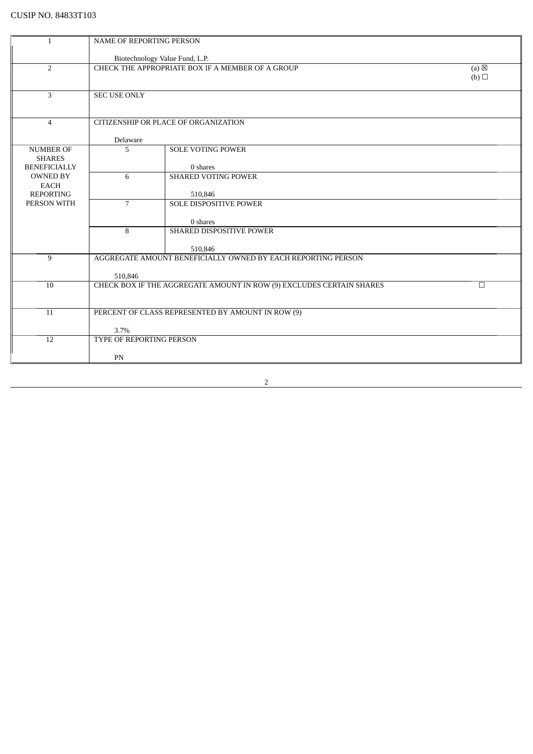| 1                   | NAME OF REPORTING PERSON       |                                                                         |     |
|---------------------|--------------------------------|-------------------------------------------------------------------------|-----|
|                     |                                |                                                                         |     |
|                     | Biotechnology Value Fund, L.P. |                                                                         |     |
| $\overline{2}$      |                                | CHECK THE APPROPRIATE BOX IF A MEMBER OF A GROUP                        | (a) |
|                     |                                |                                                                         | (b) |
|                     |                                |                                                                         |     |
| 3                   | <b>SEC USE ONLY</b>            |                                                                         |     |
|                     |                                |                                                                         |     |
|                     |                                | CITIZENSHIP OR PLACE OF ORGANIZATION                                    |     |
| $\overline{4}$      |                                |                                                                         |     |
|                     | Delaware                       |                                                                         |     |
| <b>NUMBER OF</b>    | 5                              | <b>SOLE VOTING POWER</b>                                                |     |
| <b>SHARES</b>       |                                |                                                                         |     |
| <b>BENEFICIALLY</b> |                                | 0 shares                                                                |     |
| <b>OWNED BY</b>     | 6                              | <b>SHARED VOTING POWER</b>                                              |     |
| <b>EACH</b>         |                                |                                                                         |     |
| <b>REPORTING</b>    |                                | 510,846                                                                 |     |
| PERSON WITH         | $\overline{7}$                 | <b>SOLE DISPOSITIVE POWER</b>                                           |     |
|                     |                                |                                                                         |     |
|                     |                                | 0 shares                                                                |     |
|                     | 8                              | <b>SHARED DISPOSITIVE POWER</b>                                         |     |
|                     |                                |                                                                         |     |
| 9                   |                                | 510,846<br>AGGREGATE AMOUNT BENEFICIALLY OWNED BY EACH REPORTING PERSON |     |
|                     |                                |                                                                         |     |
|                     | 510,846                        |                                                                         |     |
| 10                  |                                | CHECK BOX IF THE AGGREGATE AMOUNT IN ROW (9) EXCLUDES CERTAIN SHARES    | П   |
|                     |                                |                                                                         |     |
|                     |                                |                                                                         |     |
| 11                  |                                | PERCENT OF CLASS REPRESENTED BY AMOUNT IN ROW (9)                       |     |
|                     |                                |                                                                         |     |
|                     | 3.7%                           |                                                                         |     |
| 12                  | TYPE OF REPORTING PERSON       |                                                                         |     |
|                     |                                |                                                                         |     |
|                     | PN                             |                                                                         |     |

<u> 1980 - Johann Barbara, martxa a</u>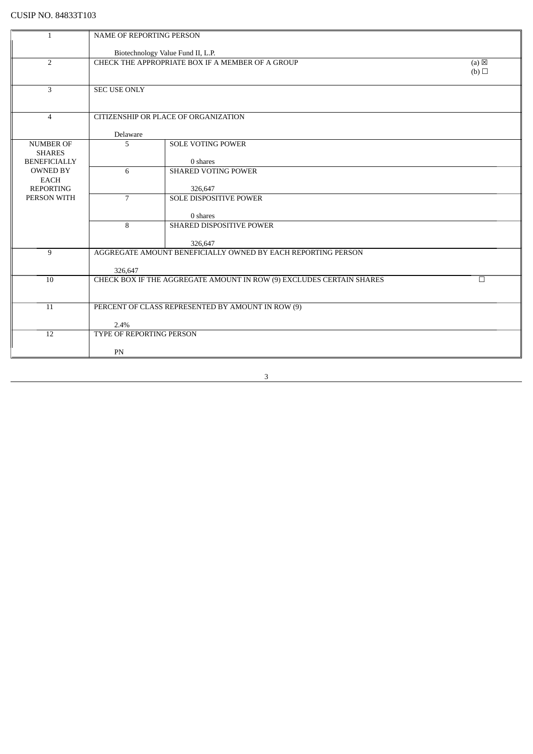| $\mathbf{1}$                      | <b>NAME OF REPORTING PERSON</b> |                                                                      |                 |
|-----------------------------------|---------------------------------|----------------------------------------------------------------------|-----------------|
|                                   |                                 |                                                                      |                 |
|                                   |                                 | Biotechnology Value Fund II, L.P.                                    |                 |
| 2                                 |                                 | CHECK THE APPROPRIATE BOX IF A MEMBER OF A GROUP                     | $(a) \boxtimes$ |
|                                   |                                 |                                                                      | (b)             |
| 3                                 | <b>SEC USE ONLY</b>             |                                                                      |                 |
|                                   |                                 |                                                                      |                 |
|                                   |                                 |                                                                      |                 |
| $\overline{4}$                    |                                 | CITIZENSHIP OR PLACE OF ORGANIZATION                                 |                 |
|                                   |                                 |                                                                      |                 |
|                                   | Delaware                        |                                                                      |                 |
| <b>NUMBER OF</b><br><b>SHARES</b> | 5                               | <b>SOLE VOTING POWER</b>                                             |                 |
| <b>BENEFICIALLY</b>               |                                 | 0 shares                                                             |                 |
| <b>OWNED BY</b>                   | 6                               | <b>SHARED VOTING POWER</b>                                           |                 |
| <b>EACH</b>                       |                                 |                                                                      |                 |
| <b>REPORTING</b>                  |                                 | 326,647                                                              |                 |
| PERSON WITH                       | $\overline{7}$                  | <b>SOLE DISPOSITIVE POWER</b>                                        |                 |
|                                   |                                 |                                                                      |                 |
|                                   | 8                               | 0 shares<br>SHARED DISPOSITIVE POWER                                 |                 |
|                                   |                                 |                                                                      |                 |
|                                   |                                 | 326,647                                                              |                 |
| 9                                 |                                 | AGGREGATE AMOUNT BENEFICIALLY OWNED BY EACH REPORTING PERSON         |                 |
|                                   |                                 |                                                                      |                 |
| $\overline{10}$                   | 326,647                         |                                                                      | $\Box$          |
|                                   |                                 | CHECK BOX IF THE AGGREGATE AMOUNT IN ROW (9) EXCLUDES CERTAIN SHARES |                 |
|                                   |                                 |                                                                      |                 |
| 11                                |                                 | PERCENT OF CLASS REPRESENTED BY AMOUNT IN ROW (9)                    |                 |
|                                   |                                 |                                                                      |                 |
|                                   | 2.4%                            |                                                                      |                 |
| 12                                | TYPE OF REPORTING PERSON        |                                                                      |                 |
|                                   | PN                              |                                                                      |                 |
|                                   |                                 |                                                                      |                 |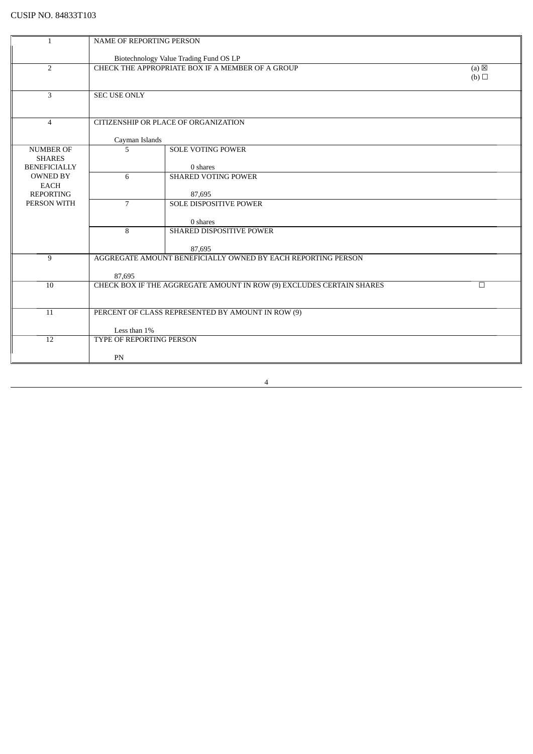|                                 | <b>NAME OF REPORTING PERSON</b> |                                                                      |                 |
|---------------------------------|---------------------------------|----------------------------------------------------------------------|-----------------|
|                                 |                                 |                                                                      |                 |
|                                 |                                 | Biotechnology Value Trading Fund OS LP                               |                 |
| $\overline{2}$                  |                                 | CHECK THE APPROPRIATE BOX IF A MEMBER OF A GROUP                     | $(a) \boxtimes$ |
|                                 |                                 |                                                                      | (b)             |
| 3                               | <b>SEC USE ONLY</b>             |                                                                      |                 |
|                                 |                                 |                                                                      |                 |
|                                 |                                 |                                                                      |                 |
| $\overline{4}$                  |                                 | CITIZENSHIP OR PLACE OF ORGANIZATION                                 |                 |
|                                 |                                 |                                                                      |                 |
| <b>NUMBER OF</b>                | Cayman Islands<br>5             | <b>SOLE VOTING POWER</b>                                             |                 |
| <b>SHARES</b>                   |                                 |                                                                      |                 |
| <b>BENEFICIALLY</b>             |                                 | 0 shares                                                             |                 |
| <b>OWNED BY</b>                 | 6                               | <b>SHARED VOTING POWER</b>                                           |                 |
| <b>EACH</b>                     |                                 |                                                                      |                 |
| <b>REPORTING</b><br>PERSON WITH | $\overline{7}$                  | 87,695<br><b>SOLE DISPOSITIVE POWER</b>                              |                 |
|                                 |                                 |                                                                      |                 |
|                                 |                                 | 0 shares                                                             |                 |
|                                 | 8                               | SHARED DISPOSITIVE POWER                                             |                 |
|                                 |                                 |                                                                      |                 |
|                                 |                                 | 87,695                                                               |                 |
| 9                               |                                 | AGGREGATE AMOUNT BENEFICIALLY OWNED BY EACH REPORTING PERSON         |                 |
|                                 | 87,695                          |                                                                      |                 |
| 10                              |                                 | CHECK BOX IF THE AGGREGATE AMOUNT IN ROW (9) EXCLUDES CERTAIN SHARES | $\Box$          |
|                                 |                                 |                                                                      |                 |
|                                 |                                 |                                                                      |                 |
| 11                              |                                 | PERCENT OF CLASS REPRESENTED BY AMOUNT IN ROW (9)                    |                 |
|                                 | Less than 1%                    |                                                                      |                 |
| 12                              | TYPE OF REPORTING PERSON        |                                                                      |                 |
|                                 |                                 |                                                                      |                 |
|                                 | PN                              |                                                                      |                 |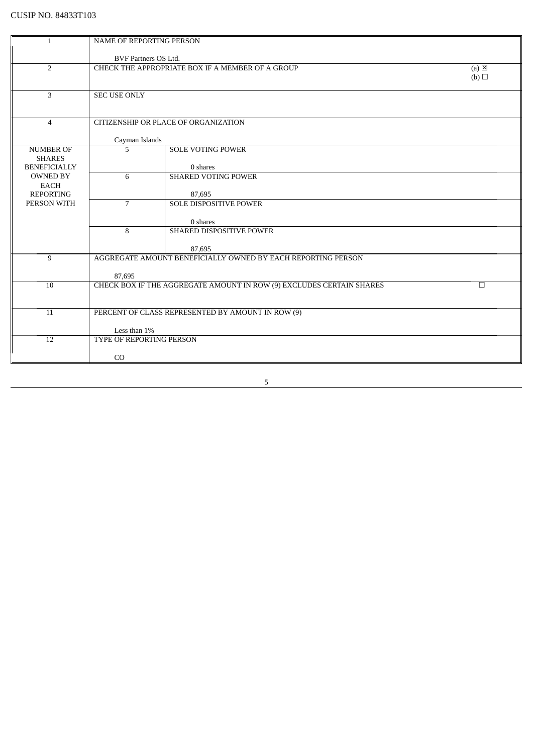| 1                   | NAME OF REPORTING PERSON         |                                                                      |                 |
|---------------------|----------------------------------|----------------------------------------------------------------------|-----------------|
|                     |                                  |                                                                      |                 |
|                     | <b>BVF Partners OS Ltd.</b>      |                                                                      |                 |
| 2                   |                                  | CHECK THE APPROPRIATE BOX IF A MEMBER OF A GROUP                     | $(a) \boxtimes$ |
|                     |                                  |                                                                      | (b)             |
|                     |                                  |                                                                      |                 |
| 3                   | <b>SEC USE ONLY</b>              |                                                                      |                 |
|                     |                                  |                                                                      |                 |
|                     |                                  |                                                                      |                 |
| $\overline{4}$      |                                  | CITIZENSHIP OR PLACE OF ORGANIZATION                                 |                 |
|                     |                                  |                                                                      |                 |
| <b>NUMBER OF</b>    | Cayman Islands<br>$\overline{5}$ | <b>SOLE VOTING POWER</b>                                             |                 |
| <b>SHARES</b>       |                                  |                                                                      |                 |
| <b>BENEFICIALLY</b> |                                  | 0 shares                                                             |                 |
| <b>OWNED BY</b>     | 6                                | <b>SHARED VOTING POWER</b>                                           |                 |
| <b>EACH</b>         |                                  |                                                                      |                 |
| <b>REPORTING</b>    |                                  | 87,695                                                               |                 |
| PERSON WITH         | $\overline{7}$                   | <b>SOLE DISPOSITIVE POWER</b>                                        |                 |
|                     |                                  |                                                                      |                 |
|                     |                                  | 0 shares                                                             |                 |
|                     | 8                                | <b>SHARED DISPOSITIVE POWER</b>                                      |                 |
|                     |                                  |                                                                      |                 |
|                     |                                  | 87,695                                                               |                 |
| 9                   |                                  | AGGREGATE AMOUNT BENEFICIALLY OWNED BY EACH REPORTING PERSON         |                 |
|                     |                                  |                                                                      |                 |
|                     | 87,695                           |                                                                      |                 |
| 10                  |                                  | CHECK BOX IF THE AGGREGATE AMOUNT IN ROW (9) EXCLUDES CERTAIN SHARES | $\Box$          |
|                     |                                  |                                                                      |                 |
|                     |                                  |                                                                      |                 |
| 11                  |                                  | PERCENT OF CLASS REPRESENTED BY AMOUNT IN ROW (9)                    |                 |
|                     |                                  |                                                                      |                 |
|                     | Less than 1%                     |                                                                      |                 |
| 12                  | TYPE OF REPORTING PERSON         |                                                                      |                 |
|                     | CO                               |                                                                      |                 |
|                     |                                  |                                                                      |                 |

<u> 1980 - Johann Barn, mars ann an t-Amhain Aonaich an t-Aonaich an t-Aonaich ann an t-Aonaich ann an t-Aonaich</u>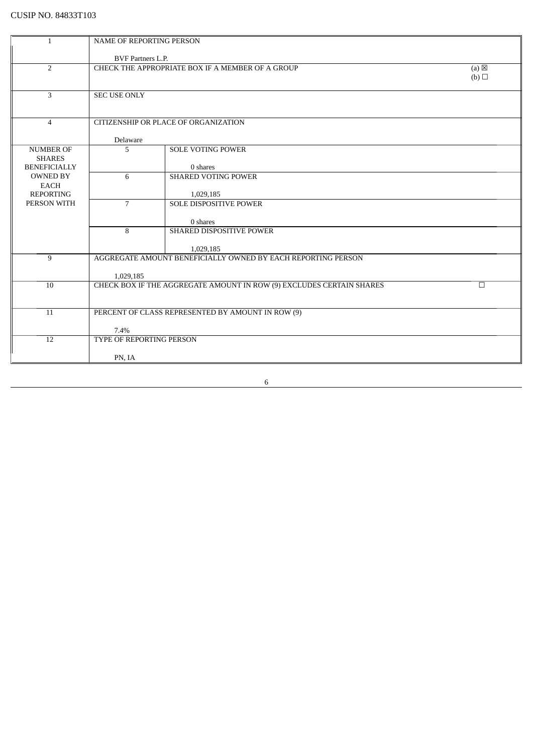| 1                                    | <b>NAME OF REPORTING PERSON</b> |                                                                      |                                           |
|--------------------------------------|---------------------------------|----------------------------------------------------------------------|-------------------------------------------|
|                                      | <b>BVF</b> Partners L.P.        |                                                                      |                                           |
| 2                                    |                                 | CHECK THE APPROPRIATE BOX IF A MEMBER OF A GROUP                     | $\overline{a}$ (a) $\overline{\boxtimes}$ |
|                                      |                                 |                                                                      | (b)                                       |
|                                      |                                 |                                                                      |                                           |
| 3                                    | <b>SEC USE ONLY</b>             |                                                                      |                                           |
|                                      |                                 |                                                                      |                                           |
|                                      |                                 |                                                                      |                                           |
| $\overline{4}$                       |                                 | CITIZENSHIP OR PLACE OF ORGANIZATION                                 |                                           |
|                                      |                                 |                                                                      |                                           |
|                                      | Delaware                        |                                                                      |                                           |
| <b>NUMBER OF</b>                     | 5                               | <b>SOLE VOTING POWER</b>                                             |                                           |
| <b>SHARES</b><br><b>BENEFICIALLY</b> |                                 |                                                                      |                                           |
| <b>OWNED BY</b>                      | 6                               | 0 shares<br><b>SHARED VOTING POWER</b>                               |                                           |
| <b>EACH</b>                          |                                 |                                                                      |                                           |
| <b>REPORTING</b>                     |                                 | 1,029,185                                                            |                                           |
| PERSON WITH                          | $\overline{7}$                  | <b>SOLE DISPOSITIVE POWER</b>                                        |                                           |
|                                      |                                 |                                                                      |                                           |
|                                      |                                 | 0 shares                                                             |                                           |
|                                      | 8                               | <b>SHARED DISPOSITIVE POWER</b>                                      |                                           |
|                                      |                                 |                                                                      |                                           |
|                                      |                                 | 1,029,185                                                            |                                           |
| 9                                    |                                 | AGGREGATE AMOUNT BENEFICIALLY OWNED BY EACH REPORTING PERSON         |                                           |
|                                      | 1,029,185                       |                                                                      |                                           |
| 10                                   |                                 | CHECK BOX IF THE AGGREGATE AMOUNT IN ROW (9) EXCLUDES CERTAIN SHARES | $\Box$                                    |
|                                      |                                 |                                                                      |                                           |
|                                      |                                 |                                                                      |                                           |
| 11                                   |                                 | PERCENT OF CLASS REPRESENTED BY AMOUNT IN ROW (9)                    |                                           |
|                                      |                                 |                                                                      |                                           |
|                                      | 7.4%                            |                                                                      |                                           |
| 12                                   | TYPE OF REPORTING PERSON        |                                                                      |                                           |
|                                      | PN, IA                          |                                                                      |                                           |
|                                      |                                 |                                                                      |                                           |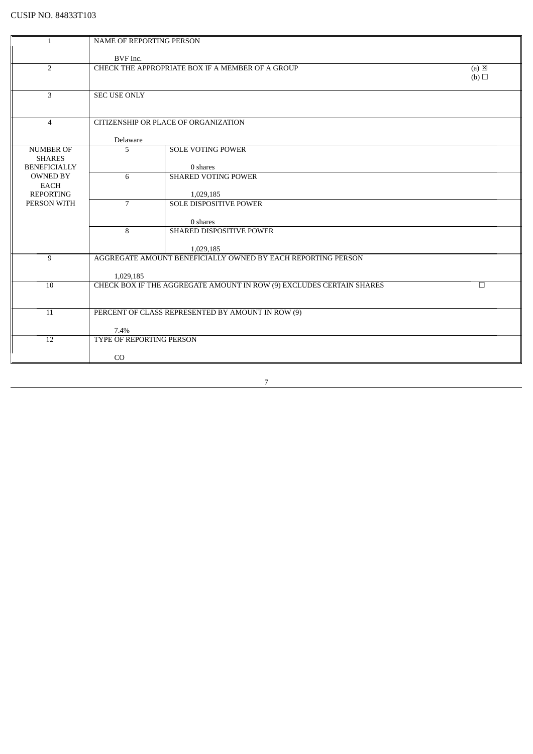| 1                                    | NAME OF REPORTING PERSON |                                                                      |                 |
|--------------------------------------|--------------------------|----------------------------------------------------------------------|-----------------|
|                                      | BVF Inc.                 |                                                                      |                 |
| $\overline{2}$                       |                          | CHECK THE APPROPRIATE BOX IF A MEMBER OF A GROUP                     | $(a) \boxtimes$ |
|                                      |                          |                                                                      | (b)             |
|                                      |                          |                                                                      |                 |
| 3                                    | <b>SEC USE ONLY</b>      |                                                                      |                 |
|                                      |                          |                                                                      |                 |
| $\overline{4}$                       |                          | CITIZENSHIP OR PLACE OF ORGANIZATION                                 |                 |
|                                      |                          |                                                                      |                 |
|                                      | Delaware                 |                                                                      |                 |
| <b>NUMBER OF</b>                     | 5                        | <b>SOLE VOTING POWER</b>                                             |                 |
| <b>SHARES</b><br><b>BENEFICIALLY</b> |                          | 0 shares                                                             |                 |
| <b>OWNED BY</b>                      | 6                        | <b>SHARED VOTING POWER</b>                                           |                 |
| <b>EACH</b>                          |                          |                                                                      |                 |
| <b>REPORTING</b>                     |                          | 1,029,185                                                            |                 |
| PERSON WITH                          | $\overline{7}$           | <b>SOLE DISPOSITIVE POWER</b>                                        |                 |
|                                      |                          |                                                                      |                 |
|                                      | 8                        | 0 shares<br>SHARED DISPOSITIVE POWER                                 |                 |
|                                      |                          |                                                                      |                 |
|                                      |                          | 1,029,185                                                            |                 |
| 9                                    |                          | AGGREGATE AMOUNT BENEFICIALLY OWNED BY EACH REPORTING PERSON         |                 |
|                                      |                          |                                                                      |                 |
|                                      | 1,029,185                |                                                                      |                 |
| 10                                   |                          | CHECK BOX IF THE AGGREGATE AMOUNT IN ROW (9) EXCLUDES CERTAIN SHARES | $\Box$          |
|                                      |                          |                                                                      |                 |
| 11                                   |                          | PERCENT OF CLASS REPRESENTED BY AMOUNT IN ROW (9)                    |                 |
|                                      |                          |                                                                      |                 |
|                                      | 7.4%                     |                                                                      |                 |
| 12                                   | TYPE OF REPORTING PERSON |                                                                      |                 |
|                                      | CO                       |                                                                      |                 |
|                                      |                          |                                                                      |                 |

<u> 1989 - Johann Barn, mars ann an t-Amhain Aonaich an t-Aonaich an t-Aonaich ann an t-Aonaich ann an t-Aonaich</u>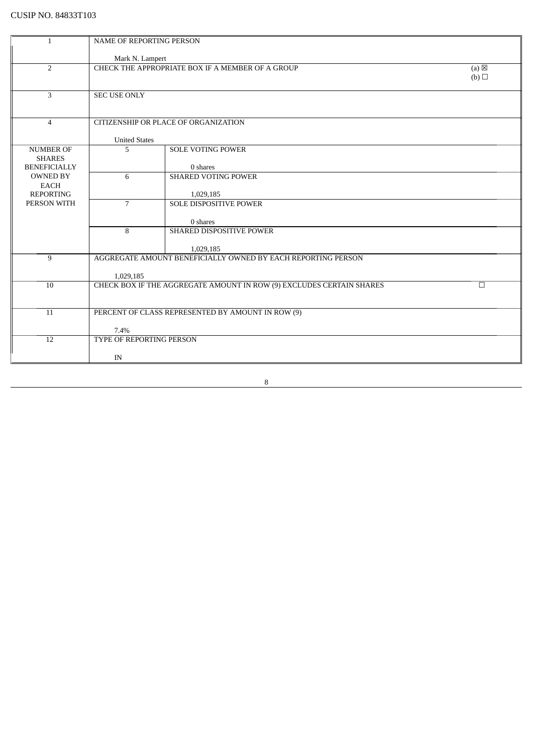| NAME OF REPORTING PERSON<br>1<br>Mark N. Lampert<br>CHECK THE APPROPRIATE BOX IF A MEMBER OF A GROUP<br>2<br>(a)<br>(b)<br>3<br><b>SEC USE ONLY</b><br>CITIZENSHIP OR PLACE OF ORGANIZATION<br>$\overline{4}$<br><b>United States</b><br>5<br><b>SOLE VOTING POWER</b><br><b>NUMBER OF</b><br><b>SHARES</b><br><b>BENEFICIALLY</b><br>0 shares<br><b>SHARED VOTING POWER</b><br><b>OWNED BY</b><br>6<br><b>EACH</b><br><b>REPORTING</b><br>1,029,185<br>PERSON WITH<br>$\overline{7}$<br><b>SOLE DISPOSITIVE POWER</b><br>0 shares<br>8<br><b>SHARED DISPOSITIVE POWER</b><br>1,029,185<br>AGGREGATE AMOUNT BENEFICIALLY OWNED BY EACH REPORTING PERSON<br>9<br>1,029,185<br>CHECK BOX IF THE AGGREGATE AMOUNT IN ROW (9) EXCLUDES CERTAIN SHARES<br>10<br>$\Box$<br>PERCENT OF CLASS REPRESENTED BY AMOUNT IN ROW (9)<br>11<br>7.4%<br>TYPE OF REPORTING PERSON<br>12<br>IN |  |  |  |
|------------------------------------------------------------------------------------------------------------------------------------------------------------------------------------------------------------------------------------------------------------------------------------------------------------------------------------------------------------------------------------------------------------------------------------------------------------------------------------------------------------------------------------------------------------------------------------------------------------------------------------------------------------------------------------------------------------------------------------------------------------------------------------------------------------------------------------------------------------------------------|--|--|--|
|                                                                                                                                                                                                                                                                                                                                                                                                                                                                                                                                                                                                                                                                                                                                                                                                                                                                              |  |  |  |
|                                                                                                                                                                                                                                                                                                                                                                                                                                                                                                                                                                                                                                                                                                                                                                                                                                                                              |  |  |  |
|                                                                                                                                                                                                                                                                                                                                                                                                                                                                                                                                                                                                                                                                                                                                                                                                                                                                              |  |  |  |
|                                                                                                                                                                                                                                                                                                                                                                                                                                                                                                                                                                                                                                                                                                                                                                                                                                                                              |  |  |  |
|                                                                                                                                                                                                                                                                                                                                                                                                                                                                                                                                                                                                                                                                                                                                                                                                                                                                              |  |  |  |
|                                                                                                                                                                                                                                                                                                                                                                                                                                                                                                                                                                                                                                                                                                                                                                                                                                                                              |  |  |  |
|                                                                                                                                                                                                                                                                                                                                                                                                                                                                                                                                                                                                                                                                                                                                                                                                                                                                              |  |  |  |
|                                                                                                                                                                                                                                                                                                                                                                                                                                                                                                                                                                                                                                                                                                                                                                                                                                                                              |  |  |  |
|                                                                                                                                                                                                                                                                                                                                                                                                                                                                                                                                                                                                                                                                                                                                                                                                                                                                              |  |  |  |
|                                                                                                                                                                                                                                                                                                                                                                                                                                                                                                                                                                                                                                                                                                                                                                                                                                                                              |  |  |  |
|                                                                                                                                                                                                                                                                                                                                                                                                                                                                                                                                                                                                                                                                                                                                                                                                                                                                              |  |  |  |
|                                                                                                                                                                                                                                                                                                                                                                                                                                                                                                                                                                                                                                                                                                                                                                                                                                                                              |  |  |  |
|                                                                                                                                                                                                                                                                                                                                                                                                                                                                                                                                                                                                                                                                                                                                                                                                                                                                              |  |  |  |
|                                                                                                                                                                                                                                                                                                                                                                                                                                                                                                                                                                                                                                                                                                                                                                                                                                                                              |  |  |  |
|                                                                                                                                                                                                                                                                                                                                                                                                                                                                                                                                                                                                                                                                                                                                                                                                                                                                              |  |  |  |
|                                                                                                                                                                                                                                                                                                                                                                                                                                                                                                                                                                                                                                                                                                                                                                                                                                                                              |  |  |  |
|                                                                                                                                                                                                                                                                                                                                                                                                                                                                                                                                                                                                                                                                                                                                                                                                                                                                              |  |  |  |
|                                                                                                                                                                                                                                                                                                                                                                                                                                                                                                                                                                                                                                                                                                                                                                                                                                                                              |  |  |  |
|                                                                                                                                                                                                                                                                                                                                                                                                                                                                                                                                                                                                                                                                                                                                                                                                                                                                              |  |  |  |
|                                                                                                                                                                                                                                                                                                                                                                                                                                                                                                                                                                                                                                                                                                                                                                                                                                                                              |  |  |  |
|                                                                                                                                                                                                                                                                                                                                                                                                                                                                                                                                                                                                                                                                                                                                                                                                                                                                              |  |  |  |
|                                                                                                                                                                                                                                                                                                                                                                                                                                                                                                                                                                                                                                                                                                                                                                                                                                                                              |  |  |  |
|                                                                                                                                                                                                                                                                                                                                                                                                                                                                                                                                                                                                                                                                                                                                                                                                                                                                              |  |  |  |
|                                                                                                                                                                                                                                                                                                                                                                                                                                                                                                                                                                                                                                                                                                                                                                                                                                                                              |  |  |  |
|                                                                                                                                                                                                                                                                                                                                                                                                                                                                                                                                                                                                                                                                                                                                                                                                                                                                              |  |  |  |
|                                                                                                                                                                                                                                                                                                                                                                                                                                                                                                                                                                                                                                                                                                                                                                                                                                                                              |  |  |  |
|                                                                                                                                                                                                                                                                                                                                                                                                                                                                                                                                                                                                                                                                                                                                                                                                                                                                              |  |  |  |
|                                                                                                                                                                                                                                                                                                                                                                                                                                                                                                                                                                                                                                                                                                                                                                                                                                                                              |  |  |  |
|                                                                                                                                                                                                                                                                                                                                                                                                                                                                                                                                                                                                                                                                                                                                                                                                                                                                              |  |  |  |
|                                                                                                                                                                                                                                                                                                                                                                                                                                                                                                                                                                                                                                                                                                                                                                                                                                                                              |  |  |  |
|                                                                                                                                                                                                                                                                                                                                                                                                                                                                                                                                                                                                                                                                                                                                                                                                                                                                              |  |  |  |
|                                                                                                                                                                                                                                                                                                                                                                                                                                                                                                                                                                                                                                                                                                                                                                                                                                                                              |  |  |  |
|                                                                                                                                                                                                                                                                                                                                                                                                                                                                                                                                                                                                                                                                                                                                                                                                                                                                              |  |  |  |
|                                                                                                                                                                                                                                                                                                                                                                                                                                                                                                                                                                                                                                                                                                                                                                                                                                                                              |  |  |  |
|                                                                                                                                                                                                                                                                                                                                                                                                                                                                                                                                                                                                                                                                                                                                                                                                                                                                              |  |  |  |
|                                                                                                                                                                                                                                                                                                                                                                                                                                                                                                                                                                                                                                                                                                                                                                                                                                                                              |  |  |  |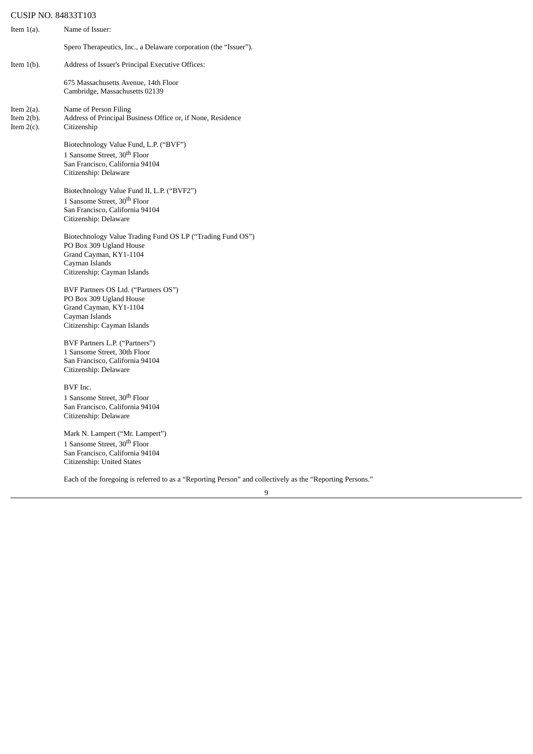| Item $1(a)$ .                                   | Name of Issuer:                                                                                                                                                  |
|-------------------------------------------------|------------------------------------------------------------------------------------------------------------------------------------------------------------------|
|                                                 | Spero Therapeutics, Inc., a Delaware corporation (the "Issuer").                                                                                                 |
| Item $1(b)$ .                                   | Address of Issuer's Principal Executive Offices:                                                                                                                 |
|                                                 | 675 Massachusetts Avenue, 14th Floor<br>Cambridge, Massachusetts 02139                                                                                           |
| Item $2(a)$ .<br>Item $2(b)$ .<br>Item $2(c)$ . | Name of Person Filing<br>Address of Principal Business Office or, if None, Residence<br>Citizenship                                                              |
|                                                 | Biotechnology Value Fund, L.P. ("BVF")<br>1 Sansome Street, 30 <sup>th</sup> Floor<br>San Francisco, California 94104<br>Citizenship: Delaware                   |
|                                                 | Biotechnology Value Fund II, L.P. ("BVF2")<br>1 Sansome Street, 30 <sup>th</sup> Floor<br>San Francisco, California 94104<br>Citizenship: Delaware               |
|                                                 | Biotechnology Value Trading Fund OS LP ("Trading Fund OS")<br>PO Box 309 Ugland House<br>Grand Cayman, KY1-1104<br>Cayman Islands<br>Citizenship: Cayman Islands |
|                                                 | BVF Partners OS Ltd. ("Partners OS")<br>PO Box 309 Ugland House<br>Grand Cayman, KY1-1104<br>Cayman Islands<br>Citizenship: Cayman Islands                       |
|                                                 | BVF Partners L.P. ("Partners")<br>1 Sansome Street, 30th Floor<br>San Francisco, California 94104<br>Citizenship: Delaware                                       |
|                                                 | BVF Inc.<br>1 Sansome Street, 30 <sup>th</sup> Floor<br>San Francisco, California 94104<br>Citizenship: Delaware                                                 |

Mark N. Lampert ("Mr. Lampert") 1 Sansome Street, 30<sup>th</sup> Floor San Francisco, California 94104 Citizenship: United States

Each of the foregoing is referred to as a "Reporting Person" and collectively as the "Reporting Persons."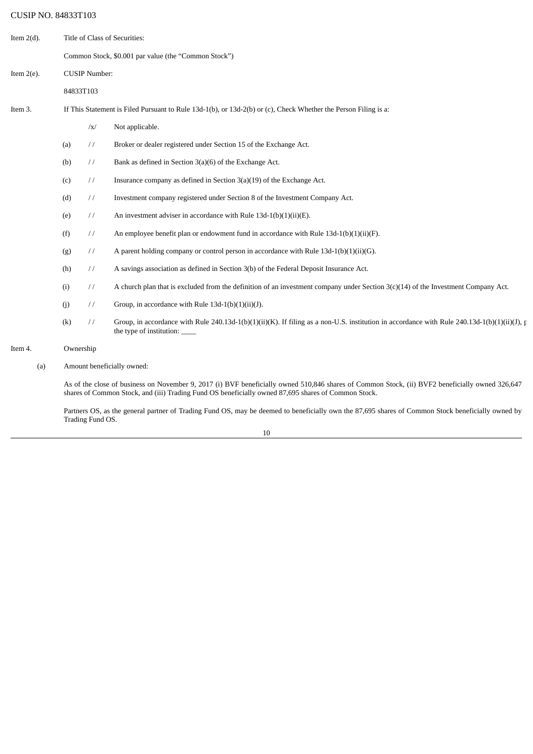| Item $2(d)$ . | Title of Class of Securities:                                                                                     |               |                                                                                                                                                                                                                                                        |  |
|---------------|-------------------------------------------------------------------------------------------------------------------|---------------|--------------------------------------------------------------------------------------------------------------------------------------------------------------------------------------------------------------------------------------------------------|--|
|               | Common Stock, \$0.001 par value (the "Common Stock")                                                              |               |                                                                                                                                                                                                                                                        |  |
| Item $2(e)$ . | <b>CUSIP Number:</b>                                                                                              |               |                                                                                                                                                                                                                                                        |  |
|               | 84833T103                                                                                                         |               |                                                                                                                                                                                                                                                        |  |
| Item 3.       | If This Statement is Filed Pursuant to Rule 13d-1(b), or 13d-2(b) or (c), Check Whether the Person Filing is a:   |               |                                                                                                                                                                                                                                                        |  |
|               |                                                                                                                   | $\sqrt{x}$    | Not applicable.                                                                                                                                                                                                                                        |  |
|               | (a)                                                                                                               | $\frac{1}{2}$ | Broker or dealer registered under Section 15 of the Exchange Act.                                                                                                                                                                                      |  |
|               | $\frac{1}{2}$<br>Bank as defined in Section 3(a)(6) of the Exchange Act.<br>(b)                                   |               |                                                                                                                                                                                                                                                        |  |
|               | $\frac{1}{2}$<br>Insurance company as defined in Section $3(a)(19)$ of the Exchange Act.<br>(c)                   |               |                                                                                                                                                                                                                                                        |  |
|               | $\frac{1}{2}$<br>Investment company registered under Section 8 of the Investment Company Act.<br>(d)              |               |                                                                                                                                                                                                                                                        |  |
|               | An investment adviser in accordance with Rule $13d-1(b)(1)(ii)(E)$ .<br>(e)<br>$\frac{1}{2}$                      |               |                                                                                                                                                                                                                                                        |  |
|               | (f)<br>An employee benefit plan or endowment fund in accordance with Rule $13d-1(b)(1)(ii)(F)$ .<br>$\frac{1}{2}$ |               |                                                                                                                                                                                                                                                        |  |
|               | A parent holding company or control person in accordance with Rule $13d-1(b)(1)(ii)(G)$ .<br>(g)<br>$\frac{1}{2}$ |               |                                                                                                                                                                                                                                                        |  |
|               | (h)<br>$\frac{1}{2}$<br>A savings association as defined in Section 3(b) of the Federal Deposit Insurance Act.    |               |                                                                                                                                                                                                                                                        |  |
|               | (i)<br>$\frac{1}{2}$                                                                                              |               | A church plan that is excluded from the definition of an investment company under Section $3(c)(14)$ of the Investment Company Act.                                                                                                                    |  |
|               | (j)<br>$\frac{1}{2}$<br>Group, in accordance with Rule $13d-1(b)(1)(ii)(J)$ .                                     |               |                                                                                                                                                                                                                                                        |  |
|               | (k)                                                                                                               | $\frac{1}{2}$ | Group, in accordance with Rule 240.13d-1(b)(1)(ii)(K). If filing as a non-U.S. institution in accordance with Rule 240.13d-1(b)(1)(ii)(J), p<br>the type of institution:                                                                               |  |
| Item 4.       | Ownership                                                                                                         |               |                                                                                                                                                                                                                                                        |  |
| (a)           | Amount beneficially owned:                                                                                        |               |                                                                                                                                                                                                                                                        |  |
|               |                                                                                                                   |               | As of the close of business on November 9, 2017 (i) BVF beneficially owned 510,846 shares of Common Stock, (ii) BVF2 beneficially owned 326,647<br>shares of Common Stock, and (iii) Trading Fund OS beneficially owned 87,695 shares of Common Stock. |  |

Partners OS, as the general partner of Trading Fund OS, may be deemed to beneficially own the 87,695 shares of Common Stock beneficially owned by Trading Fund OS.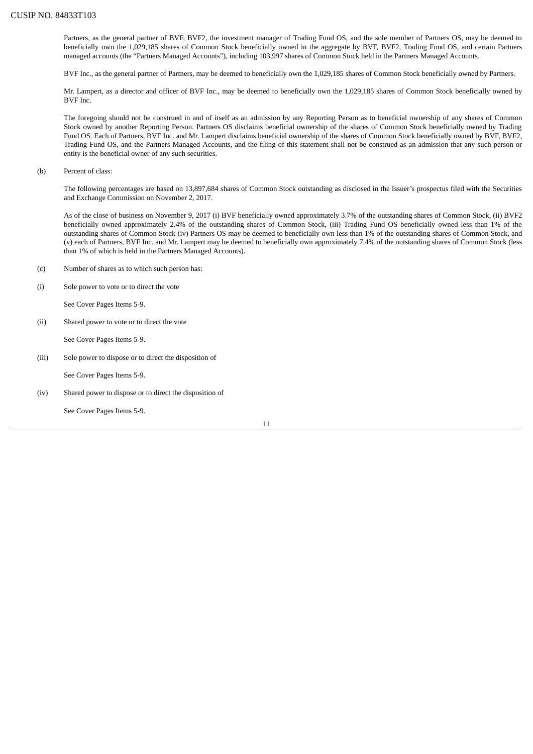Partners, as the general partner of BVF, BVF2, the investment manager of Trading Fund OS, and the sole member of Partners OS, may be deemed to beneficially own the 1,029,185 shares of Common Stock beneficially owned in the aggregate by BVF, BVF2, Trading Fund OS, and certain Partners managed accounts (the "Partners Managed Accounts"), including 103,997 shares of Common Stock held in the Partners Managed Accounts.

BVF Inc., as the general partner of Partners, may be deemed to beneficially own the 1,029,185 shares of Common Stock beneficially owned by Partners.

Mr. Lampert, as a director and officer of BVF Inc., may be deemed to beneficially own the 1,029,185 shares of Common Stock beneficially owned by BVF Inc.

The foregoing should not be construed in and of itself as an admission by any Reporting Person as to beneficial ownership of any shares of Common Stock owned by another Reporting Person. Partners OS disclaims beneficial ownership of the shares of Common Stock beneficially owned by Trading Fund OS. Each of Partners, BVF Inc. and Mr. Lampert disclaims beneficial ownership of the shares of Common Stock beneficially owned by BVF, BVF2, Trading Fund OS, and the Partners Managed Accounts, and the filing of this statement shall not be construed as an admission that any such person or entity is the beneficial owner of any such securities.

(b) Percent of class:

The following percentages are based on 13,897,684 shares of Common Stock outstanding as disclosed in the Issuer's prospectus filed with the Securities and Exchange Commission on November 2, 2017.

As of the close of business on November 9, 2017 (i) BVF beneficially owned approximately 3.7% of the outstanding shares of Common Stock, (ii) BVF2 beneficially owned approximately 2.4% of the outstanding shares of Common Stock, (iii) Trading Fund OS beneficially owned less than 1% of the outstanding shares of Common Stock (iv) Partners OS may be deemed to beneficially own less than 1% of the outstanding shares of Common Stock, and (v) each of Partners, BVF Inc. and Mr. Lampert may be deemed to beneficially own approximately 7.4% of the outstanding shares of Common Stock (less than 1% of which is held in the Partners Managed Accounts).

- (c) Number of shares as to which such person has:
- (i) Sole power to vote or to direct the vote

See Cover Pages Items 5-9.

(ii) Shared power to vote or to direct the vote

See Cover Pages Items 5-9.

(iii) Sole power to dispose or to direct the disposition of

See Cover Pages Items 5-9.

(iv) Shared power to dispose or to direct the disposition of

See Cover Pages Items 5-9.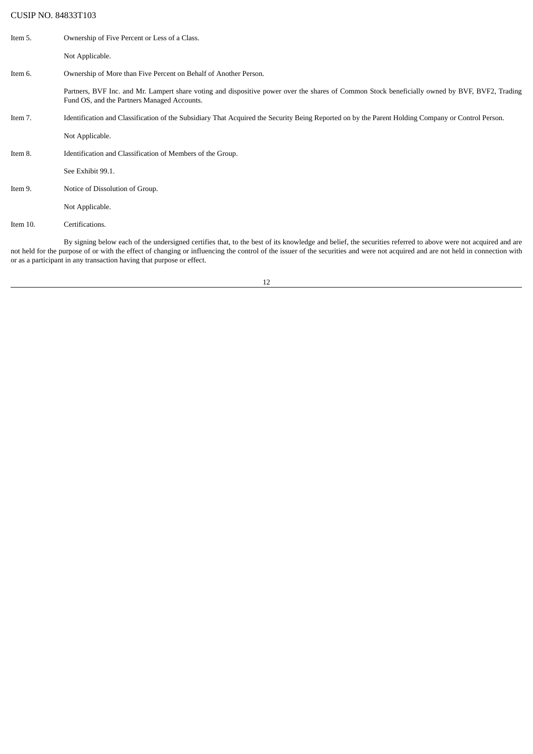| Item 5.  | Ownership of Five Percent or Less of a Class.                                                                                                                                                 |
|----------|-----------------------------------------------------------------------------------------------------------------------------------------------------------------------------------------------|
|          | Not Applicable.                                                                                                                                                                               |
| Item 6.  | Ownership of More than Five Percent on Behalf of Another Person.                                                                                                                              |
|          | Partners, BVF Inc. and Mr. Lampert share voting and dispositive power over the shares of Common Stock beneficially owned by BVF, BVF2, Trading<br>Fund OS, and the Partners Managed Accounts. |
| Item 7.  | Identification and Classification of the Subsidiary That Acquired the Security Being Reported on by the Parent Holding Company or Control Person.                                             |
|          | Not Applicable.                                                                                                                                                                               |
| Item 8.  | Identification and Classification of Members of the Group.                                                                                                                                    |
|          | See Exhibit 99.1.                                                                                                                                                                             |
| Item 9.  | Notice of Dissolution of Group.                                                                                                                                                               |
|          | Not Applicable.                                                                                                                                                                               |
| Item 10. | Certifications.                                                                                                                                                                               |
|          | Dresigning below sook of the undeveloped contifies that to the best of its knowledge and belief, the cognities veferred to above years not acquired and are                                   |

By signing below each of the undersigned certifies that, to the best of its knowledge and belief, the securities referred to above were not acquired and are not held for the purpose of or with the effect of changing or influencing the control of the issuer of the securities and were not acquired and are not held in connection with or as a participant in any transaction having that purpose or effect.

12

<u> 1980 - Johann Barn, fransk politik (d. 1980)</u>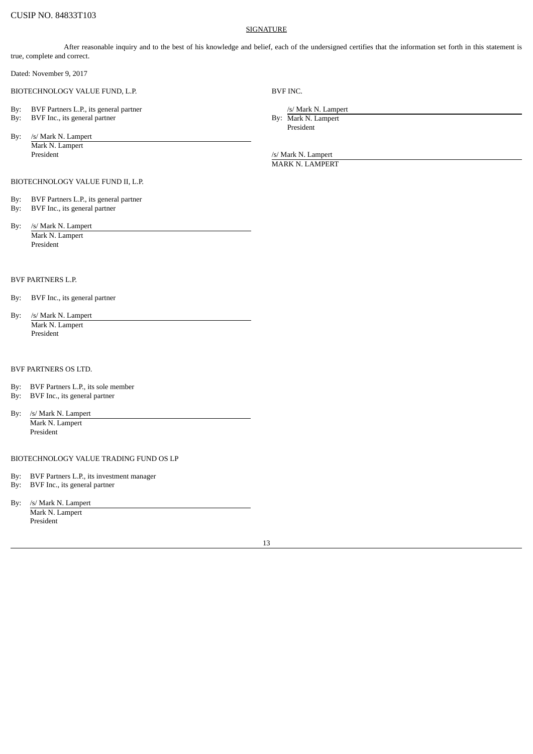#### **SIGNATURE**

After reasonable inquiry and to the best of his knowledge and belief, each of the undersigned certifies that the information set forth in this statement is true, complete and correct.

Dated: November 9, 2017

BIOTECHNOLOGY VALUE FUND, L.P. BVF INC.

- By: BVF Partners L.P., its general partner *by:* BVF Inc., its general partner *by:* BVF Inc., its general partner *by:* Mark N. Lampert *by:* Mark N. Lampert *by:* Mark N. Lampert *by:* Mark N. Lampert *by:* Mark N. Lampe By: BVF Inc., its general partner
- By: /s/ Mark N. Lampert Mark N. Lampert President 1999 / President 1999 / President 1999 / President 1999 / President 1999 / President 1999 / President

President

MARK N. LAMPERT

- BIOTECHNOLOGY VALUE FUND II, L.P.
- By: BVF Partners L.P., its general partner
- By: BVF Inc., its general partner
- By: /s/ Mark N. Lampert Mark N. Lampert President

## BVF PARTNERS L.P.

- By: BVF Inc., its general partner
- By: /s/ Mark N. Lampert Mark N. Lampert President

#### BVF PARTNERS OS LTD.

- By: BVF Partners L.P., its sole member<br>By: BVF Inc., its general partner
- BVF Inc., its general partner
- By: /s/ Mark N. Lampert

Mark N. Lampert President

## BIOTECHNOLOGY VALUE TRADING FUND OS LP

- By: BVF Partners L.P., its investment manager
- By: BVF Inc., its general partner
- By: /s/ Mark N. Lampert

Mark N. Lampert President